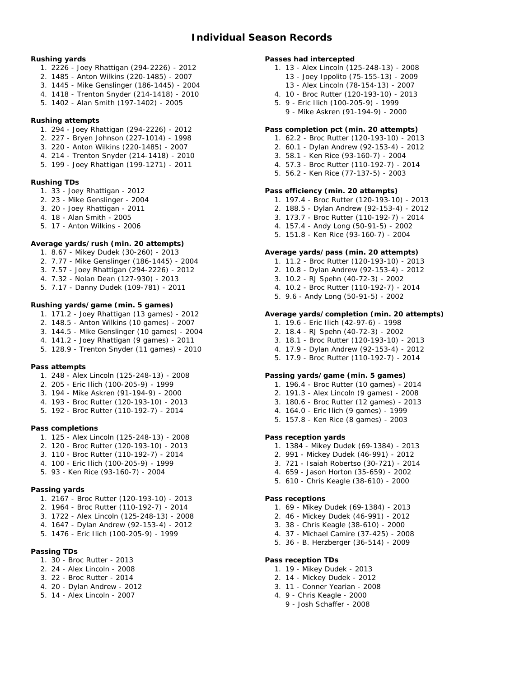#### **Rushing yards**

- 1. 2226 Joey Rhattigan (294-2226) 2012
- 2. 1485 Anton Wilkins (220-1485) 2007
- 3. 1445 Mike Genslinger (186-1445) 2004
- 4. 1418 Trenton Snyder (214-1418) 2010
- 5. 1402 Alan Smith (197-1402) 2005
- **Rushing attempts**
	- 1. 294 Joey Rhattigan (294-2226) 2012
	- 2. 227 Bryen Johnson (227-1014) 1998
	- 3. 220 Anton Wilkins (220-1485) 2007
	- 4. 214 Trenton Snyder (214-1418) 2010
	- 5. 199 Joey Rhattigan (199-1271) 2011
- **Rushing TDs**
	- 1. 33 Joey Rhattigan 2012
	- 2. 23 Mike Genslinger 2004
	- 3. 20 Joey Rhattigan 2011
	- 4. 18 Alan Smith 2005
	- 5. 17 Anton Wilkins 2006

## **Average yards/rush (min. 20 attempts)**

- 1. 8.67 Mikey Dudek (30-260) 2013
- 2. 7.77 Mike Genslinger (186-1445) 2004
- 3. 7.57 Joey Rhattigan (294-2226) 2012
- 4. 7.32 Nolan Dean (127-930) 2013
- 5. 7.17 Danny Dudek (109-781) 2011

## **Rushing yards/game (min. 5 games)**

- 1. 171.2 Joey Rhattigan (13 games) 2012
- 2. 148.5 Anton Wilkins (10 games) 2007
- 3. 144.5 Mike Genslinger (10 games) 2004
- 4. 141.2 Joey Rhattigan (9 games) 2011
- 5. 128.9 Trenton Snyder (11 games) 2010

#### **Pass attempts**

- 1. 248 Alex Lincoln (125-248-13) 2008
- 2. 205 Eric Ilich (100-205-9) 1999
- 3. 194 Mike Askren (91-194-9) 2000
- 4. 193 Broc Rutter (120-193-10) 2013
- 5. 192 Broc Rutter (110-192-7) 2014

#### **Pass completions**

- 1. 125 Alex Lincoln (125-248-13) 2008
- 2. 120 Broc Rutter (120-193-10) 2013
- 3. 110 Broc Rutter (110-192-7) 2014
- 4. 100 Eric Ilich (100-205-9) 1999
- 5. 93 Ken Rice (93-160-7) 2004

#### **Passing yards**

- 1. 2167 Broc Rutter (120-193-10) 2013
- 2. 1964 Broc Rutter (110-192-7) 2014
- 3. 1722 Alex Lincoln (125-248-13) 2008
- 4. 1647 Dylan Andrew (92-153-4) 2012
- 5. 1476 Eric Ilich (100-205-9) 1999

## **Passing TDs**

- 1. 30 Broc Rutter 2013
- 2. 24 Alex Lincoln 2008
- 3. 22 Broc Rutter 2014
- 4. 20 Dylan Andrew 2012
- 5. 14 Alex Lincoln 2007

## **Passes had intercepted**

- 1. 13 Alex Lincoln (125-248-13) 2008 13 - Joey Ippolito (75-155-13) - 2009 13 - Alex Lincoln (78-154-13) - 2007
- 4. 10 Broc Rutter (120-193-10) 2013
	- 5. 9 Eric Ilich (100-205-9) 1999
	- 9 Mike Askren (91-194-9) 2000

## **Pass completion pct (min. 20 attempts)**

- 1. 62.2 Broc Rutter (120-193-10) 2013
- 2. 60.1 Dylan Andrew (92-153-4) 2012
- 3. 58.1 Ken Rice (93-160-7) 2004
- 4. 57.3 Broc Rutter (110-192-7) 2014
- 5. 56.2 Ken Rice (77-137-5) 2003

#### **Pass efficiency (min. 20 attempts)**

- 1. 197.4 Broc Rutter (120-193-10) 2013
- 2. 188.5 Dylan Andrew (92-153-4) 2012
- 3. 173.7 Broc Rutter (110-192-7) 2014
- 4. 157.4 Andy Long (50-91-5) 2002
- 5. 151.8 Ken Rice (93-160-7) 2004

#### **Average yards/pass (min. 20 attempts)**

- 1. 11.2 Broc Rutter (120-193-10) 2013
- 2. 10.8 Dylan Andrew (92-153-4) 2012
- 3. 10.2 RJ Spehn (40-72-3) 2002
- 4. 10.2 Broc Rutter (110-192-7) 2014
- 5. 9.6 Andy Long (50-91-5) 2002

### **Average yards/completion (min. 20 attempts)**

- 1. 19.6 Eric Ilich (42-97-6) 1998
- 2. 18.4 RJ Spehn (40-72-3) 2002
- 3. 18.1 Broc Rutter (120-193-10) 2013
- 4. 17.9 Dylan Andrew (92-153-4) 2012
- 5. 17.9 Broc Rutter (110-192-7) 2014

**Passing yards/game (min. 5 games)**

- 1. 196.4 Broc Rutter (10 games) 2014
- 2. 191.3 Alex Lincoln (9 games) 2008
- 3. 180.6 Broc Rutter (12 games) 2013
- 4. 164.0 Eric Ilich (9 games) 1999
- 5. 157.8 Ken Rice (8 games) 2003

**Pass reception yards**

- 1. 1384 Mikey Dudek (69-1384) 2013
- 2. 991 Mickey Dudek (46-991) 2012
- 3. 721 Isaiah Robertso (30-721) 2014
- 4. 659 Jason Horton (35-659) 2002
- 5. 610 Chris Keagle (38-610) 2000

**Pass receptions**

**Pass reception TDs**

1. 19 - Mikey Dudek - 2013 2. 14 - Mickey Dudek - 2012 3. 11 - Conner Yearian - 2008 4. 9 - Chris Keagle - 2000 9 - Josh Schaffer - 2008

- 1. 69 Mikey Dudek (69-1384) 2013
- 2. 46 Mickey Dudek (46-991) 2012

5. 36 - B. Herzberger (36-514) - 2009

3. 38 - Chris Keagle (38-610) - 2000 4. 37 - Michael Camire (37-425) - 2008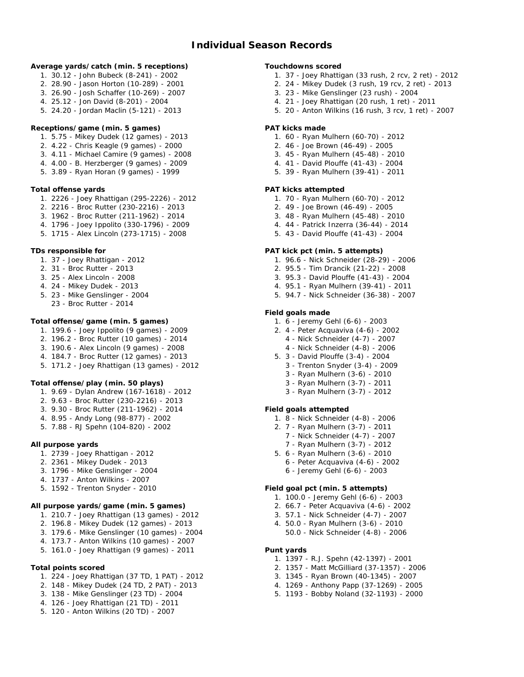- **Average yards/catch (min. 5 receptions)**
	- 1. 30.12 John Bubeck (8-241) 2002
	- 2. 28.90 Jason Horton (10-289) 2001
	- 3. 26.90 Josh Schaffer (10-269) 2007
	- 4. 25.12 Jon David (8-201) 2004
	- 5. 24.20 Jordan Maclin (5-121) 2013
- **Receptions/game (min. 5 games)**
	- 1. 5.75 Mikey Dudek (12 games) 2013
	- 2. 4.22 Chris Keagle (9 games) 2000
	- 3. 4.11 Michael Camire (9 games) 2008
	- 4. 4.00 B. Herzberger (9 games) 2009
	- 5. 3.89 Ryan Horan (9 games) 1999

**Total offense yards**

- 1. 2226 Joey Rhattigan (295-2226) 2012
- 2. 2216 Broc Rutter (230-2216) 2013
- 3. 1962 Broc Rutter (211-1962) 2014
- 4. 1796 Joey Ippolito (330-1796) 2009
- 5. 1715 Alex Lincoln (273-1715) 2008

**TDs responsible for**

- 1. 37 Joey Rhattigan 2012
- 2. 31 Broc Rutter 2013
- 3. 25 Alex Lincoln 2008
- 4. 24 Mikey Dudek 2013
- 5. 23 Mike Genslinger 2004
- 23 Broc Rutter 2014

**Total offense/game (min. 5 games)**

- 1. 199.6 Joey Ippolito (9 games) 2009
- 2. 196.2 Broc Rutter (10 games) 2014
- 3. 190.6 Alex Lincoln (9 games) 2008
- 4. 184.7 Broc Rutter (12 games) 2013
- 5. 171.2 Joey Rhattigan (13 games) 2012

**Total offense/play (min. 50 plays)**

- 1. 9.69 Dylan Andrew (167-1618) 2012
- 2. 9.63 Broc Rutter (230-2216) 2013
- 3. 9.30 Broc Rutter (211-1962) 2014
- 4. 8.95 Andy Long (98-877) 2002
- 5. 7.88 RJ Spehn (104-820) 2002
- **All purpose yards**
	- 1. 2739 Joey Rhattigan 2012
	- 2. 2361 Mikey Dudek 2013
	- 3. 1796 Mike Genslinger 2004
	- 4. 1737 Anton Wilkins 2007
	- 5. 1592 Trenton Snyder 2010
- **All purpose yards/game (min. 5 games)**
	- 1. 210.7 Joey Rhattigan (13 games) 2012
	- 2. 196.8 Mikey Dudek (12 games) 2013
	- 3. 179.6 Mike Genslinger (10 games) 2004
	- 4. 173.7 Anton Wilkins (10 games) 2007
	- 5. 161.0 Joey Rhattigan (9 games) 2011
- **Total points scored**
	- 1. 224 Joey Rhattigan (37 TD, 1 PAT) 2012
	- 2. 148 Mikey Dudek (24 TD, 2 PAT) 2013
	- 3. 138 Mike Genslinger (23 TD) 2004
	- 4. 126 Joey Rhattigan (21 TD) 2011
	- 5. 120 Anton Wilkins (20 TD) 2007

**Touchdowns scored**

- 1. 37 Joey Rhattigan (33 rush, 2 rcv, 2 ret) 2012
- 2. 24 Mikey Dudek (3 rush, 19 rcv, 2 ret) 2013
- 3. 23 Mike Genslinger (23 rush) 2004
- 4. 21 Joey Rhattigan (20 rush, 1 ret) 2011
- 5. 20 Anton Wilkins (16 rush, 3 rcv, 1 ret) 2007

#### **PAT kicks made**

- 1. 60 Ryan Mulhern (60-70) 2012
- 2. 46 Joe Brown (46-49) 2005
- 3. 45 Ryan Mulhern (45-48) 2010
- 4. 41 David Plouffe (41-43) 2004
- 5. 39 Ryan Mulhern (39-41) 2011

## **PAT kicks attempted**

- 1. 70 Ryan Mulhern (60-70) 2012
- 2. 49 Joe Brown (46-49) 2005
- 3. 48 Ryan Mulhern (45-48) 2010
- 4. 44 Patrick Inzerra (36-44) 2014
- 5. 43 David Plouffe (41-43) 2004

## **PAT kick pct (min. 5 attempts)**

- 1. 96.6 Nick Schneider (28-29) 2006
- 2. 95.5 Tim Drancik (21-22) 2008
- 3. 95.3 David Plouffe (41-43) 2004
- 4. 95.1 Ryan Mulhern (39-41) 2011
- 5. 94.7 Nick Schneider (36-38) 2007

#### **Field goals made**

- 1. 6 Jeremy Gehl (6-6) 2003
- 2. 4 Peter Acquaviva (4-6) 2002
	- 4 Nick Schneider (4-7) 2007
	- 4 Nick Schneider (4-8) 2006
- 5. 3 David Plouffe (3-4) 2004
	- 3 Trenton Snyder (3-4) 2009
	- 3 Ryan Mulhern (3-6) 2010
	- 3 Ryan Mulhern (3-7) 2011 3 - Ryan Mulhern (3-7) - 2012
- **Field goals attempted**
	- 1. 8 Nick Schneider (4-8) 2006
	- 2. 7 Ryan Mulhern (3-7) 2011
		- 7 Nick Schneider (4-7) 2007
		- 7 Ryan Mulhern (3-7) 2012
	- 5. 6 Ryan Mulhern (3-6) 2010
		- 6 Peter Acquaviva (4-6) 2002 6 - Jeremy Gehl (6-6) - 2003

#### **Field goal pct (min. 5 attempts)**

**Punt yards**

- 1. 100.0 Jeremy Gehl (6-6) 2003
- 2. 66.7 Peter Acquaviva (4-6) 2002

50.0 - Nick Schneider (4-8) - 2006

1. 1397 - R.J. Spehn (42-1397) - 2001 2. 1357 - Matt McGilliard (37-1357) - 2006 3. 1345 - Ryan Brown (40-1345) - 2007 4. 1269 - Anthony Papp (37-1269) - 2005 5. 1193 - Bobby Noland (32-1193) - 2000

3. 57.1 - Nick Schneider (4-7) - 2007 4. 50.0 - Ryan Mulhern (3-6) - 2010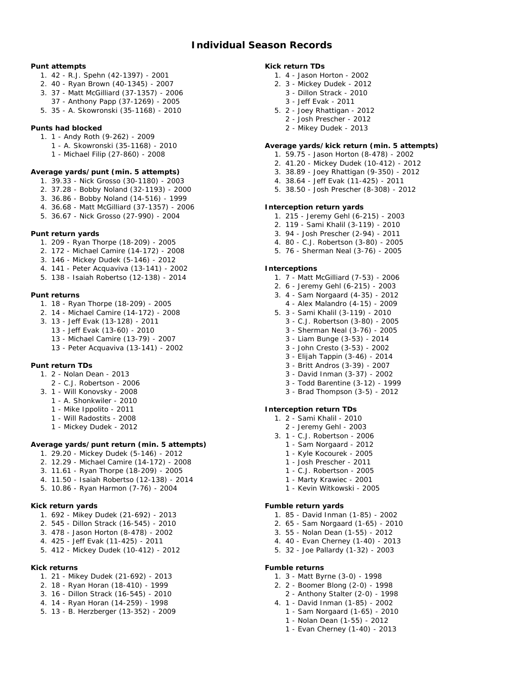#### **Punt attempts**

- 1. 42 R.J. Spehn (42-1397) 2001
- 2. 40 Ryan Brown (40-1345) 2007
- 3. 37 Matt McGilliard (37-1357) 2006
- 37 Anthony Papp (37-1269) 2005
- 5. 35 A. Skowronski (35-1168) 2010
- **Punts had blocked**
	- 1. 1 Andy Roth (9-262) 2009
		- 1 A. Skowronski (35-1168) 2010
		- 1 Michael Filip (27-860) 2008
- **Average yards/punt (min. 5 attempts)**
	- 1. 39.33 Nick Grosso (30-1180) 2003
	- 2. 37.28 Bobby Noland (32-1193) 2000
	- 3. 36.86 Bobby Noland (14-516) 1999
	- 4. 36.68 Matt McGilliard (37-1357) 2006
	- 5. 36.67 Nick Grosso (27-990) 2004
- **Punt return yards**
	- 1. 209 Ryan Thorpe (18-209) 2005
	- 2. 172 Michael Camire (14-172) 2008
	- 3. 146 Mickey Dudek (5-146) 2012
	- 4. 141 Peter Acquaviva (13-141) 2002
	- 5. 138 Isaiah Robertso (12-138) 2014

## **Punt returns**

- 1. 18 Ryan Thorpe (18-209) 2005
- 2. 14 Michael Camire (14-172) 2008
- 3. 13 Jeff Evak (13-128) 2011
	- 13 Jeff Evak (13-60) 2010
	- 13 Michael Camire (13-79) 2007
	- 13 Peter Acquaviva (13-141) 2002
- **Punt return TDs**
	- 1. 2 Nolan Dean 2013
		- 2 C.J. Robertson 2006
	- 3. 1 Will Konovsky 2008
		- 1 A. Shonkwiler 2010
		- 1 Mike Ippolito 2011
		- 1 Will Radostits 2008
		- 1 Mickey Dudek 2012

**Average yards/punt return (min. 5 attempts)**

- 1. 29.20 Mickey Dudek (5-146) 2012
- 2. 12.29 Michael Camire (14-172) 2008
- 3. 11.61 Ryan Thorpe (18-209) 2005
- 4. 11.50 Isaiah Robertso (12-138) 2014
- 5. 10.86 Ryan Harmon (7-76) 2004
- **Kick return yards**
	- 1. 692 Mikey Dudek (21-692) 2013
	- 2. 545 Dillon Strack (16-545) 2010
	- 3. 478 Jason Horton (8-478) 2002
	- 4. 425 Jeff Evak (11-425) 2011
	- 5. 412 Mickey Dudek (10-412) 2012
- **Kick returns**
	- 1. 21 Mikey Dudek (21-692) 2013
	- 2. 18 Ryan Horan (18-410) 1999
	- 3. 16 Dillon Strack (16-545) 2010
	- 4. 14 Ryan Horan (14-259) 1998
	- 5. 13 B. Herzberger (13-352) 2009

**Kick return TDs**

- 1. 4 Jason Horton 2002
- 2. 3 Mickey Dudek 2012 3 - Dillon Strack - 2010 3 - Jeff Evak - 2011
- 5. 2 Joey Rhattigan 2012
	- 2 Josh Prescher 2012
		- 2 Mikey Dudek 2013
- **Average yards/kick return (min. 5 attempts)**
	- 1. 59.75 Jason Horton (8-478) 2002
	- 2. 41.20 Mickey Dudek (10-412) 2012
	- 3. 38.89 Joey Rhattigan (9-350) 2012
	- 4. 38.64 Jeff Evak (11-425) 2011
	- 5. 38.50 Josh Prescher (8-308) 2012

#### **Interception return yards**

- 1. 215 Jeremy Gehl (6-215) 2003
- 2. 119 Sami Khalil (3-119) 2010
- 3. 94 Josh Prescher (2-94) 2011
- 4. 80 C.J. Robertson (3-80) 2005
- 5. 76 Sherman Neal (3-76) 2005

## **Interceptions**

- 1. 7 Matt McGilliard (7-53) 2006
- 2. 6 Jeremy Gehl (6-215) 2003
- 3. 4 Sam Norgaard (4-35) 2012 4 - Alex Malandro (4-15) - 2009
- 5. 3 Sami Khalil (3-119) 2010
	- 3 C.J. Robertson (3-80) 2005
	- 3 Sherman Neal (3-76) 2005
	- 3 Liam Bunge (3-53) 2014 3 - John Cresto (3-53) - 2002
	- 3 Elijah Tappin (3-46) 2014
	- 3 Britt Andros (3-39) 2007
	- 3 David Inman (3-37) 2002
	- 3 Todd Barentine (3-12) 1999
	- 3 Brad Thompson (3-5) 2012

**Interception return TDs**

- 1. 2 Sami Khalil 2010
	- 2 Jeremy Gehl 2003
- 3. 1 C.J. Robertson 2006
	- 1 Sam Norgaard 2012
- 1 Kyle Kocourek 2005
- 1 Josh Prescher 2011
- 1 C.J. Robertson 2005
- 1 Marty Krawiec 2001 1 - Kevin Witkowski - 2005
- 
- **Fumble return yards**

**Fumble returns**

1. 85 - David Inman (1-85) - 2002

5. 32 - Joe Pallardy (1-32) - 2003

1. 3 - Matt Byrne (3-0) - 1998 2. 2 - Boomer Blong (2-0) - 1998 2 - Anthony Stalter (2-0) - 1998 4. 1 - David Inman (1-85) - 2002 1 - Sam Norgaard (1-65) - 2010 1 - Nolan Dean (1-55) - 2012 1 - Evan Cherney (1-40) - 2013

2. 65 - Sam Norgaard (1-65) - 2010 3. 55 - Nolan Dean (1-55) - 2012 4. 40 - Evan Cherney (1-40) - 2013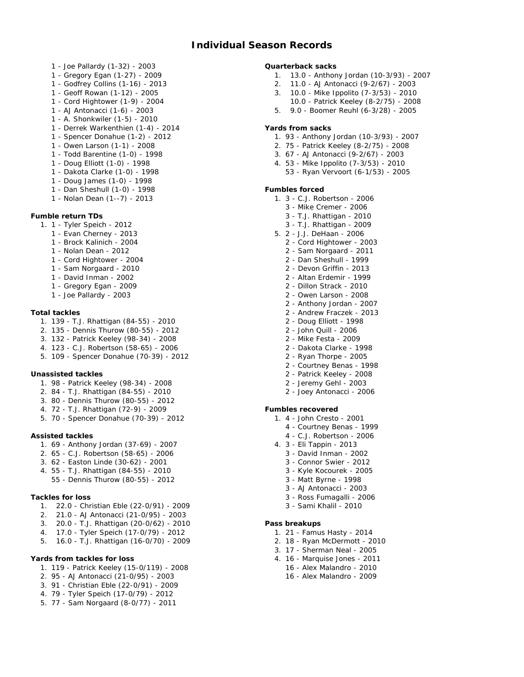- 1 Joe Pallardy (1-32) 2003
- 1 Gregory Egan (1-27) 2009
- 1 Godfrey Collins (1-16) 2013
- 1 Geoff Rowan (1-12) 2005
- 1 Cord Hightower (1-9) 2004
- 1 AJ Antonacci (1-6) 2003
- 1 A. Shonkwiler (1-5) 2010
- 1 Derrek Warkenthien (1-4) 2014
- 1 Spencer Donahue (1-2) 2012
- 1 Owen Larson (1-1) 2008
- 1 Todd Barentine (1-0) 1998
- 1 Doug Elliott (1-0) 1998
- 1 Dakota Clarke (1-0) 1998
- 1 Doug James (1-0) 1998
- 1 Dan Sheshull (1-0) 1998
- 1 Nolan Dean (1--7) 2013
- **Fumble return TDs**
	- 1. 1 Tyler Speich 2012
		- 1 Evan Cherney 2013
		- 1 Brock Kalinich 2004
		- 1 Nolan Dean 2012
		- 1 Cord Hightower 2004
		- 1 Sam Norgaard 2010
		- 1 David Inman 2002
		- 1 Gregory Egan 2009
		- 1 Joe Pallardy 2003

## **Total tackles**

- 1. 139 T.J. Rhattigan (84-55) 2010
- 2. 135 Dennis Thurow (80-55) 2012
- 3. 132 Patrick Keeley (98-34) 2008
- 4. 123 C.J. Robertson (58-65) 2006
- 5. 109 Spencer Donahue (70-39) 2012

**Unassisted tackles**

- 1. 98 Patrick Keeley (98-34) 2008
- 2. 84 T.J. Rhattigan (84-55) 2010
- 3. 80 Dennis Thurow (80-55) 2012
- 4. 72 T.J. Rhattigan (72-9) 2009
- 5. 70 Spencer Donahue (70-39) 2012

## **Assisted tackles**

- 1. 69 Anthony Jordan (37-69) 2007
- 2. 65 C.J. Robertson (58-65) 2006
- 3. 62 Easton Linde (30-62) 2001
- 4. 55 T.J. Rhattigan (84-55) 2010
	- 55 Dennis Thurow (80-55) 2012

### **Tackles for loss**

- 1. 22.0 Christian Eble (22-0/91) 2009
- 2. 21.0 AJ Antonacci (21-0/95) 2003
- 3. 20.0 T.J. Rhattigan (20-0/62) 2010
- 4. 17.0 Tyler Speich (17-0/79) 2012
- 5. 16.0 T.J. Rhattigan (16-0/70) 2009

#### **Yards from tackles for loss**

- 1. 119 Patrick Keeley (15-0/119) 2008
- 2. 95 AJ Antonacci (21-0/95) 2003
- 3. 91 Christian Eble (22-0/91) 2009
- 4. 79 Tyler Speich (17-0/79) 2012
- 5. 77 Sam Norgaard (8-0/77) 2011

**Quarterback sacks**

- 1. 13.0 Anthony Jordan (10-3/93) 2007
- 2. 11.0 AJ Antonacci (9-2/67) 2003
- 3. 10.0 Mike Ippolito (7-3/53) 2010
- 10.0 Patrick Keeley (8-2/75) 2008
- 5. 9.0 Boomer Reuhl (6-3/28) 2005

#### **Yards from sacks**

- 1. 93 Anthony Jordan (10-3/93) 2007
- 2. 75 Patrick Keeley (8-2/75) 2008
- 3. 67 AJ Antonacci (9-2/67) 2003
- 4. 53 Mike Ippolito (7-3/53) 2010
	- 53 Ryan Vervoort (6-1/53) 2005

### **Fumbles forced**

- 1. 3 C.J. Robertson 2006
	- 3 Mike Cremer 2006
	- 3 T.J. Rhattigan 2010
	- 3 T.J. Rhattigan 2009
- 5. 2 J.J. DeHaan 2006
	- 2 Cord Hightower 2003
	- 2 Sam Norgaard 2011
	- 2 Dan Sheshull 1999
	- 2 Devon Griffin 2013
	- 2 Altan Erdemir 1999
	- 2 Dillon Strack 2010
	- 2 Owen Larson 2008
	- 2 Anthony Jordan 2007
	- 2 Andrew Fraczek 2013
	- 2 Doug Elliott 1998
	- 2 John Quill 2006
	- 2 Mike Festa 2009
	- 2 Dakota Clarke 1998
	- 2 Ryan Thorpe 2005
	- 2 Courtney Benas 1998
	- 2 Patrick Keeley 2008
	- 2 Jeremy Gehl 2003
	- 2 Joey Antonacci 2006

## **Fumbles recovered**

**Pass breakups**

- 1. 4 John Cresto 2001
	- 4 Courtney Benas 1999
- 4 C.J. Robertson 2006
- 4. 3 Eli Tappin 2013
	- 3 David Inman 2002

3 - Matt Byrne - 1998 3 - AJ Antonacci - 2003 3 - Ross Fumagalli - 2006 3 - Sami Khalil - 2010

1. 21 - Famus Hasty - 2014 2. 18 - Ryan McDermott - 2010 3. 17 - Sherman Neal - 2005 4. 16 - Marquise Jones - 2011 16 - Alex Malandro - 2010 16 - Alex Malandro - 2009

3 - Connor Swier - 2012 3 - Kyle Kocourek - 2005